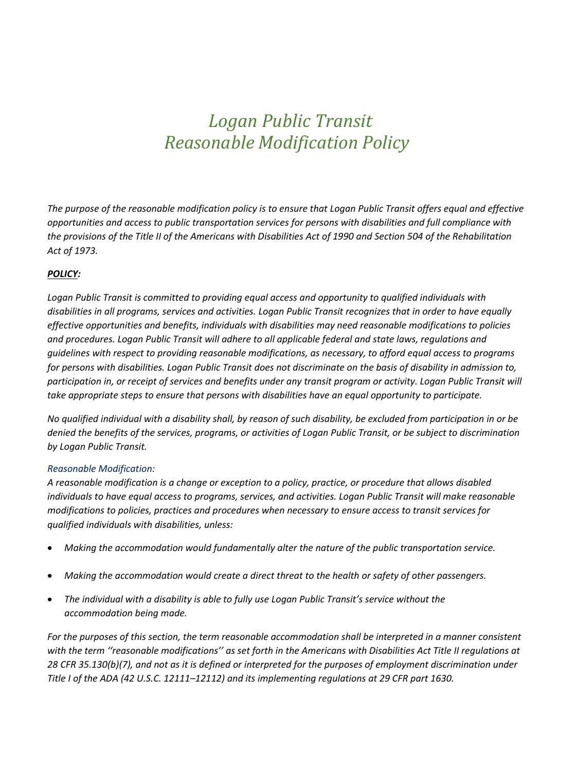# *Logan Public Transit Reasonable Modification Policy*

*The purpose of the reasonable modification policy is to ensure that Logan Public Transit offers equal and effective opportunities and access to public transportation services for persons with disabilities and full compliance with the provisions of the Title II of the Americans with Disabilities Act of 1990 and Section 504 of the Rehabilitation Act of 1973.* 

# *POLICY:*

*Logan Public Transit is committed to providing equal access and opportunity to qualified individuals with disabilities in all programs, services and activities. Logan Public Transit recognizes that in order to have equally effective opportunities and benefits, individuals with disabilities may need reasonable modifications to policies and procedures. Logan Public Transit will adhere to all applicable federal and state laws, regulations and guidelines with respect to providing reasonable modifications, as necessary, to afford equal access to programs for persons with disabilities. Logan Public Transit does not discriminate on the basis of disability in admission to, participation in, or receipt of services and benefits under any transit program or activity. Logan Public Transit will take appropriate steps to ensure that persons with disabilities have an equal opportunity to participate.* 

*No qualified individual with a disability shall, by reason of such disability, be excluded from participation in or be denied the benefits of the services, programs, or activities of Logan Public Transit, or be subject to discrimination by Logan Public Transit.* 

# *Reasonable Modification:*

*A reasonable modification is a change or exception to a policy, practice, or procedure that allows disabled individuals to have equal access to programs, services, and activities. Logan Public Transit will make reasonable modifications to policies, practices and procedures when necessary to ensure access to transit services for qualified individuals with disabilities, unless:* 

- *Making the accommodation would fundamentally alter the nature of the public transportation service.*
- *Making the accommodation would create a direct threat to the health or safety of other passengers.*
- *The individual with a disability is able to fully use Logan Public Transit's service without the accommodation being made.*

For the purposes of this section, the term reasonable accommodation shall be interpreted in a manner consistent *with the term ''reasonable modifications'' as set forth in the Americans with Disabilities Act Title II regulations at 28 CFR 35.130(b)(7), and not as it is defined or interpreted for the purposes of employment discrimination under Title I of the ADA (42 U.S.C. 12111–12112) and its implementing regulations at 29 CFR part 1630.*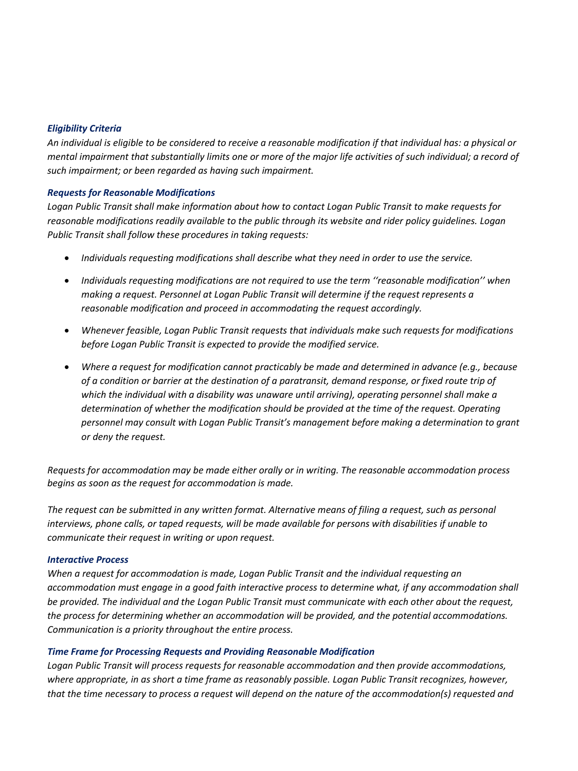## *Eligibility Criteria*

*An individual is eligible to be considered to receive a reasonable modification if that individual has: a physical or mental impairment that substantially limits one or more of the major life activities of such individual; a record of such impairment; or been regarded as having such impairment.* 

## *Requests for Reasonable Modifications*

*Logan Public Transit shall make information about how to contact Logan Public Transit to make requests for reasonable modifications readily available to the public through its website and rider policy guidelines. Logan Public Transit shall follow these procedures in taking requests:* 

- *Individuals requesting modifications shall describe what they need in order to use the service.*
- *Individuals requesting modifications are not required to use the term ''reasonable modification'' when making a request. Personnel at Logan Public Transit will determine if the request represents a reasonable modification and proceed in accommodating the request accordingly.*
- *Whenever feasible, Logan Public Transit requests that individuals make such requests for modifications before Logan Public Transit is expected to provide the modified service.*
- *Where a request for modification cannot practicably be made and determined in advance (e.g., because of a condition or barrier at the destination of a paratransit, demand response, or fixed route trip of which the individual with a disability was unaware until arriving), operating personnel shall make a determination of whether the modification should be provided at the time of the request. Operating personnel may consult with Logan Public Transit's management before making a determination to grant or deny the request.*

*Requests for accommodation may be made either orally or in writing. The reasonable accommodation process begins as soon as the request for accommodation is made.* 

*The request can be submitted in any written format. Alternative means of filing a request, such as personal interviews, phone calls, or taped requests, will be made available for persons with disabilities if unable to communicate their request in writing or upon request.* 

#### *Interactive Process*

*When a request for accommodation is made, Logan Public Transit and the individual requesting an accommodation must engage in a good faith interactive process to determine what, if any accommodation shall be provided. The individual and the Logan Public Transit must communicate with each other about the request, the process for determining whether an accommodation will be provided, and the potential accommodations. Communication is a priority throughout the entire process.* 

# *Time Frame for Processing Requests and Providing Reasonable Modification*

*Logan Public Transit will process requests for reasonable accommodation and then provide accommodations, where appropriate, in as short a time frame as reasonably possible. Logan Public Transit recognizes, however, that the time necessary to process a request will depend on the nature of the accommodation(s) requested and*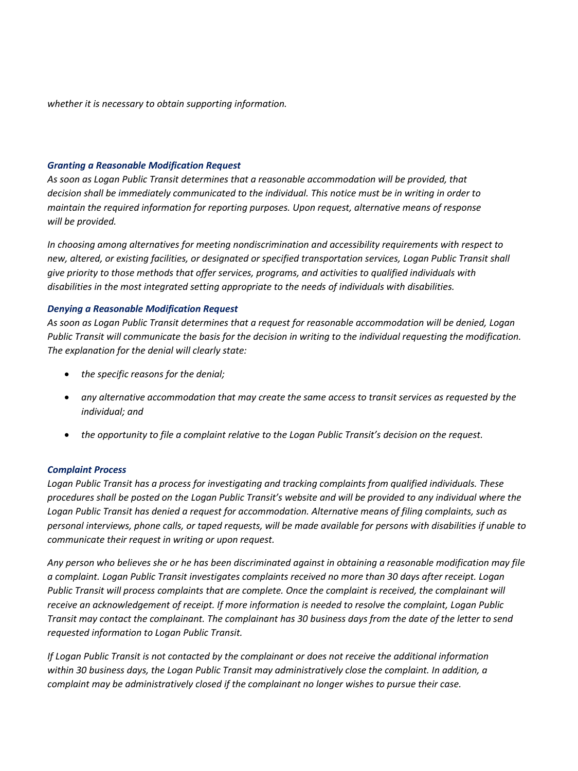*whether it is necessary to obtain supporting information.* 

#### *Granting a Reasonable Modification Request*

*As soon as Logan Public Transit determines that a reasonable accommodation will be provided, that decision shall be immediately communicated to the individual. This notice must be in writing in order to maintain the required information for reporting purposes. Upon request, alternative means of response will be provided.* 

*In choosing among alternatives for meeting nondiscrimination and accessibility requirements with respect to new, altered, or existing facilities, or designated or specified transportation services, Logan Public Transit shall give priority to those methods that offer services, programs, and activities to qualified individuals with disabilities in the most integrated setting appropriate to the needs of individuals with disabilities.* 

## *Denying a Reasonable Modification Request*

*As soon as Logan Public Transit determines that a request for reasonable accommodation will be denied, Logan Public Transit will communicate the basis for the decision in writing to the individual requesting the modification. The explanation for the denial will clearly state:* 

- *the specific reasons for the denial;*
- *any alternative accommodation that may create the same access to transit services as requested by the individual; and*
- *the opportunity to file a complaint relative to the Logan Public Transit's decision on the request.*

#### *Complaint Process*

*Logan Public Transit has a process for investigating and tracking complaints from qualified individuals. These procedures shall be posted on the Logan Public Transit's website and will be provided to any individual where the Logan Public Transit has denied a request for accommodation. Alternative means of filing complaints, such as personal interviews, phone calls, or taped requests, will be made available for persons with disabilities if unable to communicate their request in writing or upon request.* 

*Any person who believes she or he has been discriminated against in obtaining a reasonable modification may file a complaint. Logan Public Transit investigates complaints received no more than 30 days after receipt. Logan Public Transit will process complaints that are complete. Once the complaint is received, the complainant will receive an acknowledgement of receipt. If more information is needed to resolve the complaint, Logan Public Transit may contact the complainant. The complainant has 30 business days from the date of the letter to send requested information to Logan Public Transit.* 

*If Logan Public Transit is not contacted by the complainant or does not receive the additional information within 30 business days, the Logan Public Transit may administratively close the complaint. In addition, a complaint may be administratively closed if the complainant no longer wishes to pursue their case.*